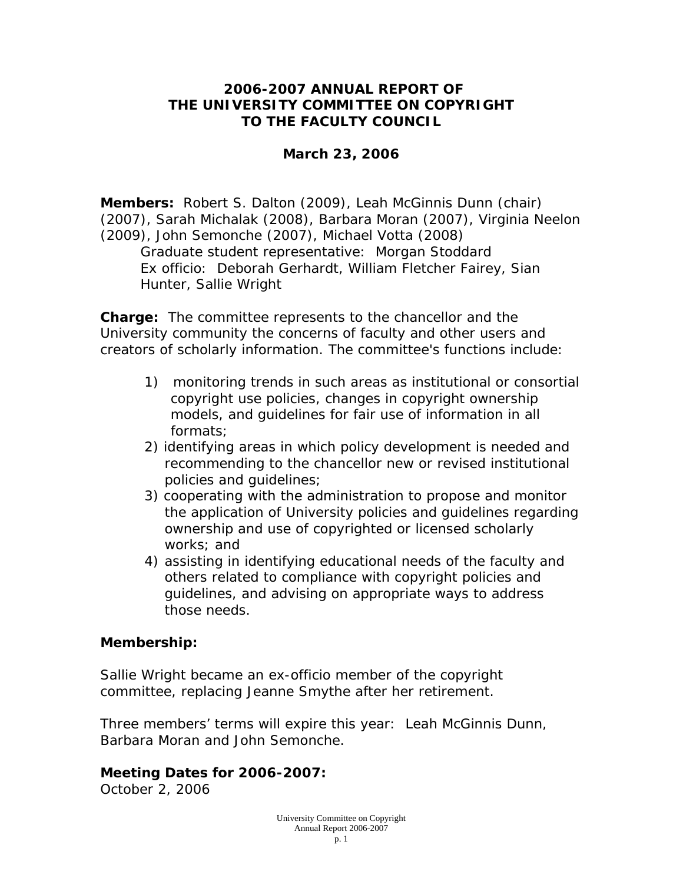### **2006-2007 ANNUAL REPORT OF THE UNIVERSITY COMMITTEE ON COPYRIGHT TO THE FACULTY COUNCIL**

#### **March 23, 2006**

**Members:** Robert S. Dalton (2009), Leah McGinnis Dunn (chair) (2007), Sarah Michalak (2008), Barbara Moran (2007), Virginia Neelon (2009), John Semonche (2007), Michael Votta (2008) *Graduate student representative*: Morgan Stoddard *Ex officio*: Deborah Gerhardt, William Fletcher Fairey, Sian Hunter, Sallie Wright

**Charge:** The committee represents to the chancellor and the University community the concerns of faculty and other users and creators of scholarly information. The committee's functions include:

- 1) monitoring trends in such areas as institutional or consortial copyright use policies, changes in copyright ownership models, and guidelines for fair use of information in all formats;
- 2) identifying areas in which policy development is needed and recommending to the chancellor new or revised institutional policies and guidelines;
- 3) cooperating with the administration to propose and monitor the application of University policies and guidelines regarding ownership and use of copyrighted or licensed scholarly works; and
- 4) assisting in identifying educational needs of the faculty and others related to compliance with copyright policies and guidelines, and advising on appropriate ways to address those needs.

### **Membership:**

Sallie Wright became an ex-officio member of the copyright committee, replacing Jeanne Smythe after her retirement.

Three members' terms will expire this year: Leah McGinnis Dunn, Barbara Moran and John Semonche.

# **Meeting Dates for 2006-2007:**

October 2, 2006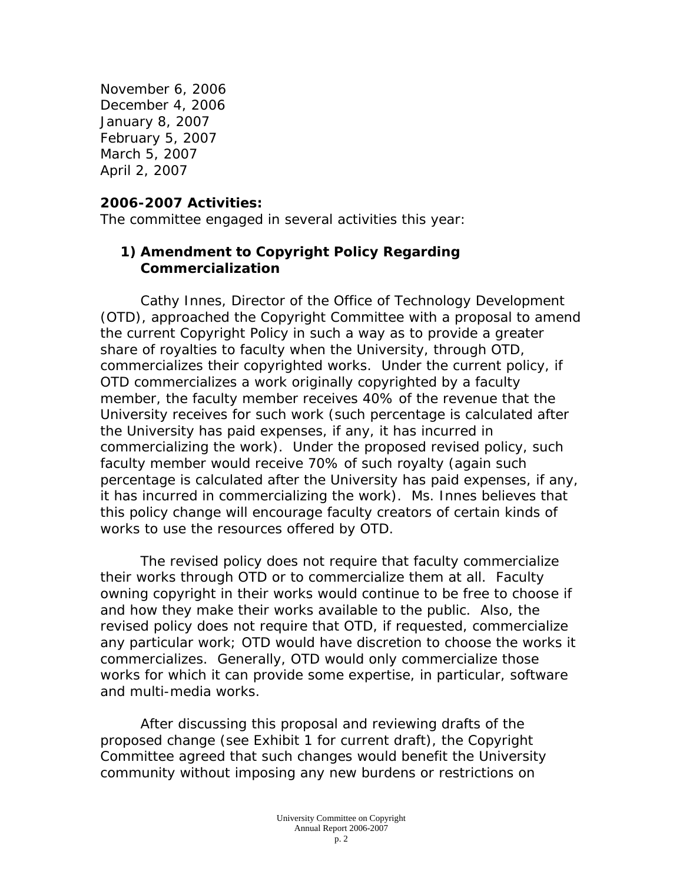November 6, 2006 December 4, 2006 January 8, 2007 February 5, 2007 March 5, 2007 April 2, 2007

#### **2006-2007 Activities:**

The committee engaged in several activities this year:

### **1) Amendment to Copyright Policy Regarding Commercialization**

 Cathy Innes, Director of the Office of Technology Development (OTD), approached the Copyright Committee with a proposal to amend the current Copyright Policy in such a way as to provide a greater share of royalties to faculty when the University, through OTD, commercializes their copyrighted works. Under the current policy, if OTD commercializes a work originally copyrighted by a faculty member, the faculty member receives 40% of the revenue that the University receives for such work (such percentage is calculated after the University has paid expenses, if any, it has incurred in commercializing the work). Under the proposed revised policy, such faculty member would receive 70% of such royalty (again such percentage is calculated after the University has paid expenses, if any, it has incurred in commercializing the work). Ms. Innes believes that this policy change will encourage faculty creators of certain kinds of works to use the resources offered by OTD.

 The revised policy does not require that faculty commercialize their works through OTD or to commercialize them at all. Faculty owning copyright in their works would continue to be free to choose if and how they make their works available to the public. Also, the revised policy does not require that OTD, if requested, commercialize any particular work; OTD would have discretion to choose the works it commercializes. Generally, OTD would only commercialize those works for which it can provide some expertise, in particular, software and multi-media works.

 After discussing this proposal and reviewing drafts of the proposed change (see Exhibit 1 for current draft), the Copyright Committee agreed that such changes would benefit the University community without imposing any new burdens or restrictions on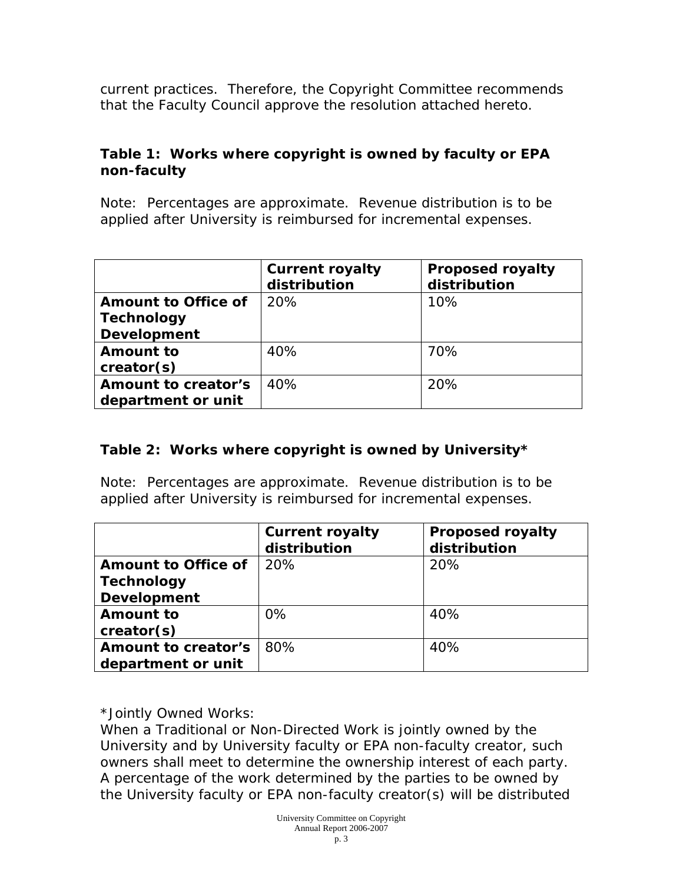current practices. Therefore, the Copyright Committee recommends that the Faculty Council approve the resolution attached hereto.

## **Table 1: Works where copyright is owned by faculty or EPA non-faculty**

Note: Percentages are approximate. Revenue distribution is to be applied after University is reimbursed for incremental expenses.

|                     | <b>Current royalty</b><br>distribution | <b>Proposed royalty</b><br>distribution |
|---------------------|----------------------------------------|-----------------------------------------|
| Amount to Office of | 20%                                    | 10%                                     |
| <b>Technology</b>   |                                        |                                         |
| <b>Development</b>  |                                        |                                         |
| Amount to           | 40%                                    | 70%                                     |
| creator(s)          |                                        |                                         |
| Amount to creator's | 40%                                    | 20%                                     |
| department or unit  |                                        |                                         |

# **Table 2: Works where copyright is owned by University\***

Note: Percentages are approximate. Revenue distribution is to be applied after University is reimbursed for incremental expenses.

|                     | <b>Current royalty</b><br>distribution | <b>Proposed royalty</b><br>distribution |
|---------------------|----------------------------------------|-----------------------------------------|
| Amount to Office of | 20%                                    | 20%                                     |
| <b>Technology</b>   |                                        |                                         |
| <b>Development</b>  |                                        |                                         |
| Amount to           | $0\%$                                  | 40%                                     |
| creator(s)          |                                        |                                         |
| Amount to creator's | 80%                                    | 40%                                     |
| department or unit  |                                        |                                         |

\*Jointly Owned Works:

When a Traditional or Non-Directed Work is jointly owned by the University and by University faculty or EPA non-faculty creator, such owners shall meet to determine the ownership interest of each party. A percentage of the work determined by the parties to be owned by the University faculty or EPA non-faculty creator(s) will be distributed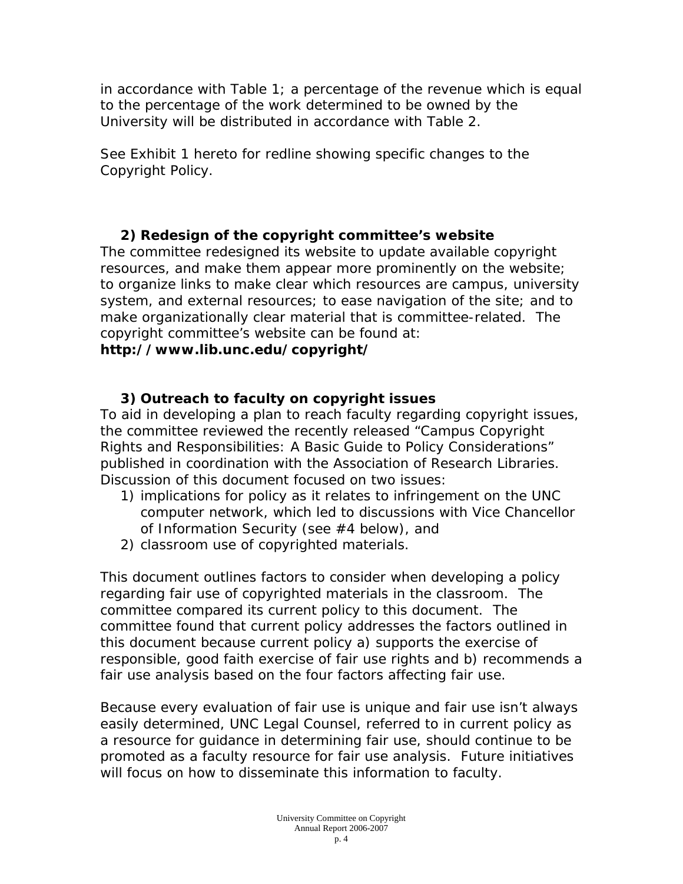in accordance with Table 1; a percentage of the revenue which is equal to the percentage of the work determined to be owned by the University will be distributed in accordance with Table 2.

See Exhibit 1 hereto for redline showing specific changes to the Copyright Policy.

# **2) Redesign of the copyright committee's website**

The committee redesigned its website to update available copyright resources, and make them appear more prominently on the website; to organize links to make clear which resources are campus, university system, and external resources; to ease navigation of the site; and to make organizationally clear material that is committee-related. The copyright committee's website can be found at:

### **http://www.lib.unc.edu/copyright/**

# **3) Outreach to faculty on copyright issues**

To aid in developing a plan to reach faculty regarding copyright issues, the committee reviewed the recently released "Campus Copyright Rights and Responsibilities: A Basic Guide to Policy Considerations" published in coordination with the Association of Research Libraries. Discussion of this document focused on two issues:

- 1) implications for policy as it relates to infringement on the UNC computer network, which led to discussions with Vice Chancellor of Information Security (see #4 below), and
- 2) classroom use of copyrighted materials.

This document outlines factors to consider when developing a policy regarding fair use of copyrighted materials in the classroom. The committee compared its current policy to this document. The committee found that current policy addresses the factors outlined in this document because current policy a) supports the exercise of responsible, good faith exercise of fair use rights and b) recommends a fair use analysis based on the four factors affecting fair use.

Because every evaluation of fair use is unique and fair use isn't always easily determined, UNC Legal Counsel, referred to in current policy as a resource for guidance in determining fair use, should continue to be promoted as a faculty resource for fair use analysis. Future initiatives will focus on how to disseminate this information to faculty.